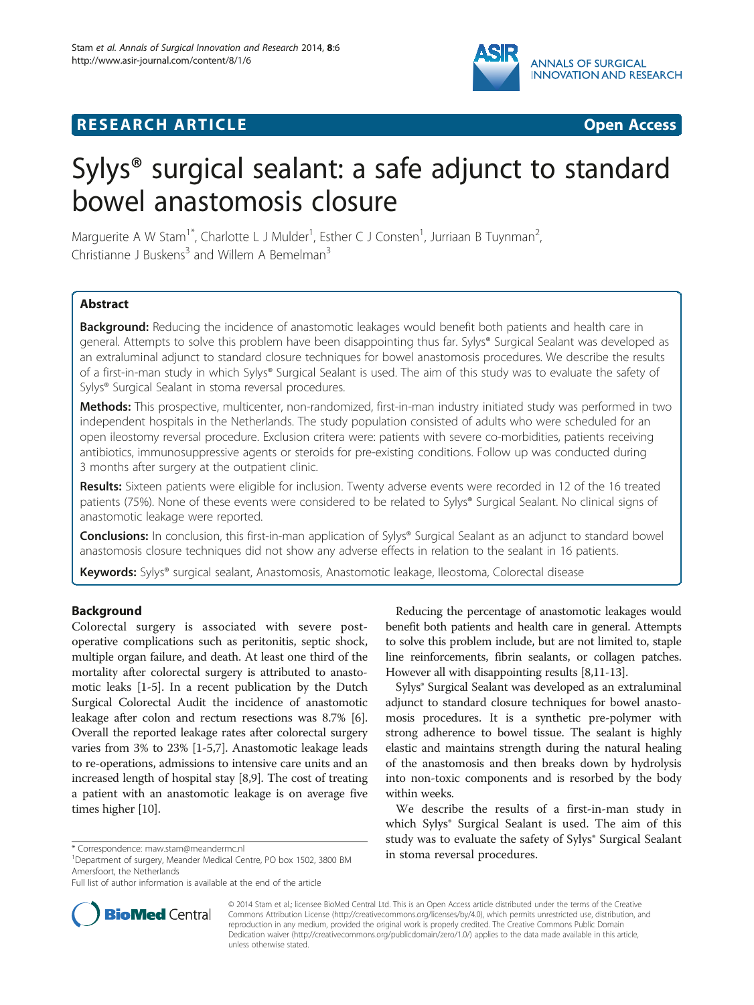

# **RESEARCH ARTICLE Example 2018 12:00 DEAR COPEN ACCESS**



# Sylys® surgical sealant: a safe adjunct to standard bowel anastomosis closure

Marguerite A W Stam<sup>1\*</sup>, Charlotte L J Mulder<sup>1</sup>, Esther C J Consten<sup>1</sup>, Jurriaan B Tuynman<sup>2</sup> , Christianne J Buskens<sup>3</sup> and Willem A Bemelman<sup>3</sup>

# **Abstract**

Background: Reducing the incidence of anastomotic leakages would benefit both patients and health care in general. Attempts to solve this problem have been disappointing thus far. Sylys® Surgical Sealant was developed as an extraluminal adjunct to standard closure techniques for bowel anastomosis procedures. We describe the results of a first-in-man study in which Sylys® Surgical Sealant is used. The aim of this study was to evaluate the safety of Sylys® Surgical Sealant in stoma reversal procedures.

Methods: This prospective, multicenter, non-randomized, first-in-man industry initiated study was performed in two independent hospitals in the Netherlands. The study population consisted of adults who were scheduled for an open ileostomy reversal procedure. Exclusion critera were: patients with severe co-morbidities, patients receiving antibiotics, immunosuppressive agents or steroids for pre-existing conditions. Follow up was conducted during 3 months after surgery at the outpatient clinic.

Results: Sixteen patients were eligible for inclusion. Twenty adverse events were recorded in 12 of the 16 treated patients (75%). None of these events were considered to be related to Sylys® Surgical Sealant. No clinical signs of anastomotic leakage were reported.

**Conclusions:** In conclusion, this first-in-man application of Sylys<sup>®</sup> Surgical Sealant as an adjunct to standard bowel anastomosis closure techniques did not show any adverse effects in relation to the sealant in 16 patients.

Keywords: Sylys® surgical sealant, Anastomosis, Anastomotic leakage, Ileostoma, Colorectal disease

## Background

Colorectal surgery is associated with severe postoperative complications such as peritonitis, septic shock, multiple organ failure, and death. At least one third of the mortality after colorectal surgery is attributed to anastomotic leaks [\[1](#page-3-0)-[5](#page-3-0)]. In a recent publication by the Dutch Surgical Colorectal Audit the incidence of anastomotic leakage after colon and rectum resections was 8.7% [[6](#page-3-0)]. Overall the reported leakage rates after colorectal surgery varies from 3% to 23% [\[1-5,7](#page-3-0)]. Anastomotic leakage leads to re-operations, admissions to intensive care units and an increased length of hospital stay [\[8,9](#page-3-0)]. The cost of treating a patient with an anastomotic leakage is on average five times higher [\[10\]](#page-3-0).

Reducing the percentage of anastomotic leakages would benefit both patients and health care in general. Attempts to solve this problem include, but are not limited to, staple line reinforcements, fibrin sealants, or collagen patches. However all with disappointing results [\[8,11](#page-3-0)-[13](#page-3-0)].

Sylys® Surgical Sealant was developed as an extraluminal adjunct to standard closure techniques for bowel anastomosis procedures. It is a synthetic pre-polymer with strong adherence to bowel tissue. The sealant is highly elastic and maintains strength during the natural healing of the anastomosis and then breaks down by hydrolysis into non-toxic components and is resorbed by the body within weeks.

We describe the results of a first-in-man study in which Sylys<sup>®</sup> Surgical Sealant is used. The aim of this study was to evaluate the safety of Sylys<sup>®</sup> Surgical Sealant



© 2014 Stam et al.; licensee BioMed Central Ltd. This is an Open Access article distributed under the terms of the Creative Commons Attribution License [\(http://creativecommons.org/licenses/by/4.0\)](http://creativecommons.org/licenses/by/4.0), which permits unrestricted use, distribution, and reproduction in any medium, provided the original work is properly credited. The Creative Commons Public Domain Dedication waiver [\(http://creativecommons.org/publicdomain/zero/1.0/](http://creativecommons.org/publicdomain/zero/1.0/)) applies to the data made available in this article, unless otherwise stated.

<sup>\*</sup> Correspondence: [maw.stam@meandermc.nl](mailto:maw.stam@meandermc.nl)<br><sup>1</sup>Department of surgery, Meander Medical Centre, PO box 1502, 3800 BM **in stoma reversal procedures.** Amersfoort, the Netherlands

Full list of author information is available at the end of the article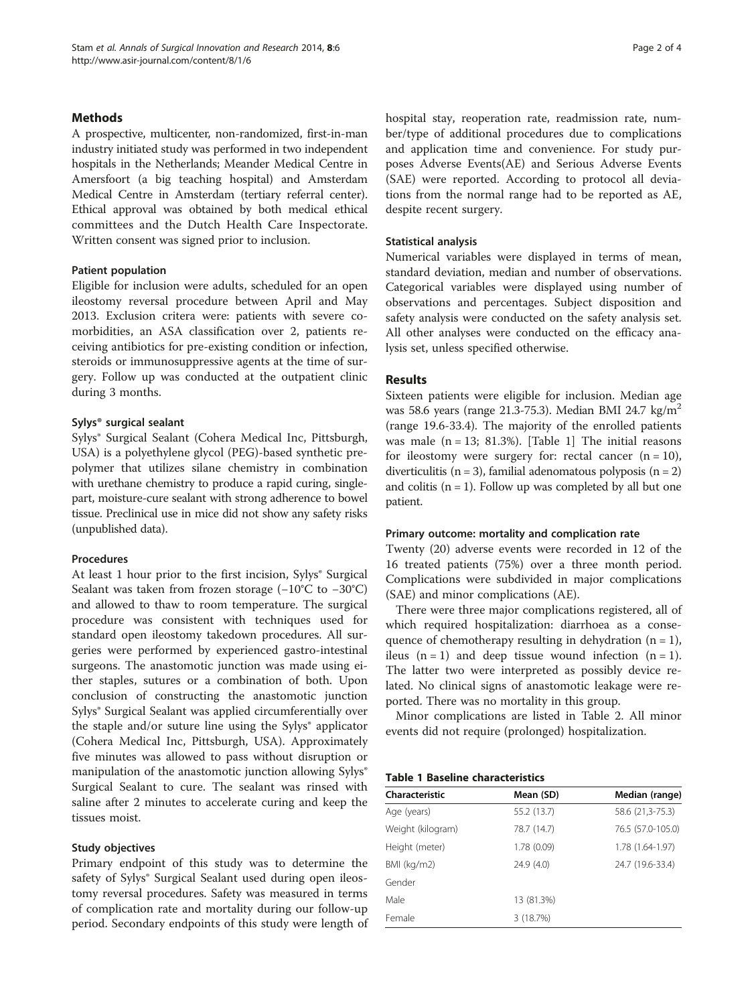#### **Methods**

A prospective, multicenter, non-randomized, first-in-man industry initiated study was performed in two independent hospitals in the Netherlands; Meander Medical Centre in Amersfoort (a big teaching hospital) and Amsterdam Medical Centre in Amsterdam (tertiary referral center). Ethical approval was obtained by both medical ethical committees and the Dutch Health Care Inspectorate. Written consent was signed prior to inclusion.

#### Patient population

Eligible for inclusion were adults, scheduled for an open ileostomy reversal procedure between April and May 2013. Exclusion critera were: patients with severe comorbidities, an ASA classification over 2, patients receiving antibiotics for pre-existing condition or infection, steroids or immunosuppressive agents at the time of surgery. Follow up was conducted at the outpatient clinic during 3 months.

#### Sylys® surgical sealant

Sylys® Surgical Sealant (Cohera Medical Inc, Pittsburgh, USA) is a polyethylene glycol (PEG)-based synthetic prepolymer that utilizes silane chemistry in combination with urethane chemistry to produce a rapid curing, singlepart, moisture-cure sealant with strong adherence to bowel tissue. Preclinical use in mice did not show any safety risks (unpublished data).

#### Procedures

At least 1 hour prior to the first incision, Sylys<sup>®</sup> Surgical Sealant was taken from frozen storage (−10°C to −30°C) and allowed to thaw to room temperature. The surgical procedure was consistent with techniques used for standard open ileostomy takedown procedures. All surgeries were performed by experienced gastro-intestinal surgeons. The anastomotic junction was made using either staples, sutures or a combination of both. Upon conclusion of constructing the anastomotic junction Sylys® Surgical Sealant was applied circumferentially over the staple and/or suture line using the Sylys<sup>®</sup> applicator (Cohera Medical Inc, Pittsburgh, USA). Approximately five minutes was allowed to pass without disruption or manipulation of the anastomotic junction allowing Sylys<sup>®</sup> Surgical Sealant to cure. The sealant was rinsed with saline after 2 minutes to accelerate curing and keep the tissues moist.

#### Study objectives

Primary endpoint of this study was to determine the safety of Sylys<sup>®</sup> Surgical Sealant used during open ileostomy reversal procedures. Safety was measured in terms of complication rate and mortality during our follow-up period. Secondary endpoints of this study were length of hospital stay, reoperation rate, readmission rate, number/type of additional procedures due to complications and application time and convenience. For study purposes Adverse Events(AE) and Serious Adverse Events (SAE) were reported. According to protocol all deviations from the normal range had to be reported as AE, despite recent surgery.

#### Statistical analysis

Numerical variables were displayed in terms of mean, standard deviation, median and number of observations. Categorical variables were displayed using number of observations and percentages. Subject disposition and safety analysis were conducted on the safety analysis set. All other analyses were conducted on the efficacy analysis set, unless specified otherwise.

#### Results

Sixteen patients were eligible for inclusion. Median age was 58.6 years (range 21.3-75.3). Median BMI 24.7 kg/m2 (range 19.6-33.4). The majority of the enrolled patients was male  $(n = 13; 81.3%)$ . [Table 1] The initial reasons for ileostomy were surgery for: rectal cancer  $(n = 10)$ , diverticulitis ( $n = 3$ ), familial adenomatous polyposis ( $n = 2$ ) and colitis  $(n = 1)$ . Follow up was completed by all but one patient.

#### Primary outcome: mortality and complication rate

Twenty (20) adverse events were recorded in 12 of the 16 treated patients (75%) over a three month period. Complications were subdivided in major complications (SAE) and minor complications (AE).

There were three major complications registered, all of which required hospitalization: diarrhoea as a consequence of chemotherapy resulting in dehydration  $(n = 1)$ , ileus  $(n = 1)$  and deep tissue wound infection  $(n = 1)$ . The latter two were interpreted as possibly device related. No clinical signs of anastomotic leakage were reported. There was no mortality in this group.

Minor complications are listed in Table [2.](#page-2-0) All minor events did not require (prolonged) hospitalization.

#### Table 1 Baseline characteristics

| Characteristic    | Mean (SD)   | Median (range)    |
|-------------------|-------------|-------------------|
| Age (years)       | 55.2 (13.7) | 58.6 (21,3-75.3)  |
| Weight (kilogram) | 78.7 (14.7) | 76.5 (57.0-105.0) |
| Height (meter)    | 1.78 (0.09) | 1.78 (1.64-1.97)  |
| BMI (kg/m2)       | 24.9(4.0)   | 24.7 (19.6-33.4)  |
| Gender            |             |                   |
| Male              | 13 (81.3%)  |                   |
| Female            | 3(18.7%)    |                   |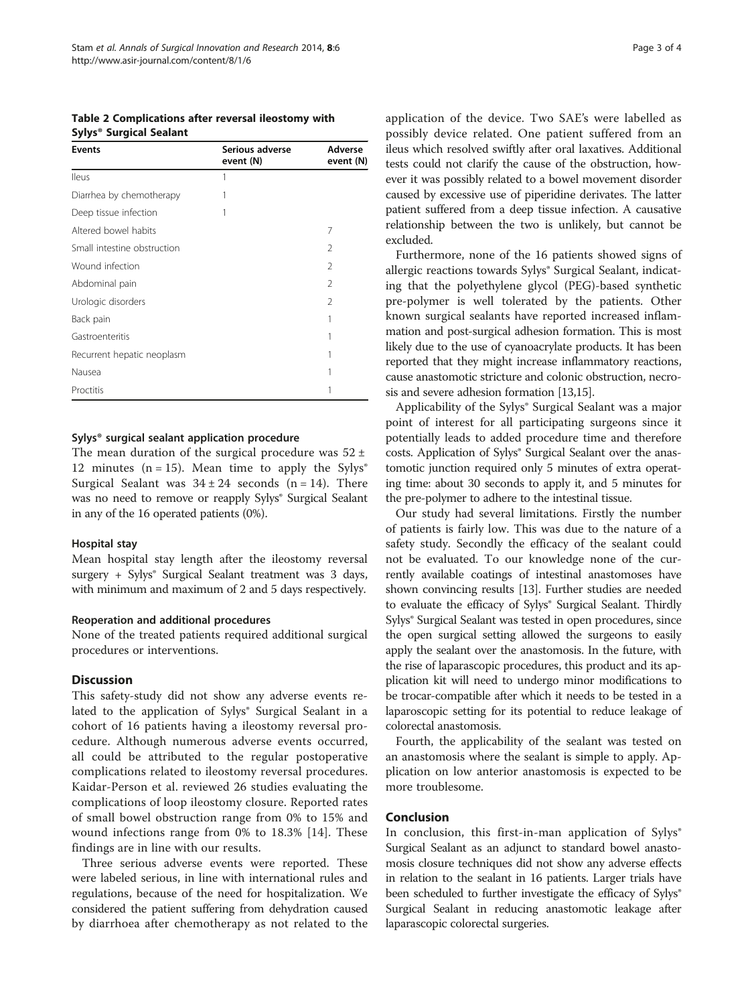<span id="page-2-0"></span>Table 2 Complications after reversal ileostomy with Sylys® Surgical Sealant

| <b>Events</b>               | Serious adverse<br>event (N) | Adverse<br>event (N) |
|-----------------------------|------------------------------|----------------------|
| <b>Ileus</b>                | 1                            |                      |
| Diarrhea by chemotherapy    | 1                            |                      |
| Deep tissue infection       | 1                            |                      |
| Altered bowel habits        |                              | 7                    |
| Small intestine obstruction |                              | $\mathcal{P}$        |
| Wound infection             |                              | $\mathcal{P}$        |
| Abdominal pain              |                              | $\mathfrak{D}$       |
| Urologic disorders          |                              | $\mathfrak{D}$       |
| Back pain                   |                              |                      |
| Gastroenteritis             |                              |                      |
| Recurrent hepatic neoplasm  |                              |                      |
| Nausea                      |                              |                      |
| Proctitis                   |                              |                      |

#### Sylys® surgical sealant application procedure

The mean duration of the surgical procedure was  $52 \pm$ 12 minutes (n = 15). Mean time to apply the Sylys<sup>®</sup> Surgical Sealant was  $34 \pm 24$  seconds (n = 14). There was no need to remove or reapply Sylys® Surgical Sealant in any of the 16 operated patients (0%).

#### Hospital stay

Mean hospital stay length after the ileostomy reversal surgery + Sylys<sup>®</sup> Surgical Sealant treatment was 3 days, with minimum and maximum of 2 and 5 days respectively.

#### Reoperation and additional procedures

None of the treated patients required additional surgical procedures or interventions.

#### **Discussion**

This safety-study did not show any adverse events related to the application of Sylys® Surgical Sealant in a cohort of 16 patients having a ileostomy reversal procedure. Although numerous adverse events occurred, all could be attributed to the regular postoperative complications related to ileostomy reversal procedures. Kaidar-Person et al. reviewed 26 studies evaluating the complications of loop ileostomy closure. Reported rates of small bowel obstruction range from 0% to 15% and wound infections range from 0% to 18.3% [[14](#page-3-0)]. These findings are in line with our results.

Three serious adverse events were reported. These were labeled serious, in line with international rules and regulations, because of the need for hospitalization. We considered the patient suffering from dehydration caused by diarrhoea after chemotherapy as not related to the

application of the device. Two SAE's were labelled as possibly device related. One patient suffered from an ileus which resolved swiftly after oral laxatives. Additional tests could not clarify the cause of the obstruction, however it was possibly related to a bowel movement disorder caused by excessive use of piperidine derivates. The latter patient suffered from a deep tissue infection. A causative relationship between the two is unlikely, but cannot be excluded.

Furthermore, none of the 16 patients showed signs of allergic reactions towards Sylys® Surgical Sealant, indicating that the polyethylene glycol (PEG)-based synthetic pre-polymer is well tolerated by the patients. Other known surgical sealants have reported increased inflammation and post-surgical adhesion formation. This is most likely due to the use of cyanoacrylate products. It has been reported that they might increase inflammatory reactions, cause anastomotic stricture and colonic obstruction, necrosis and severe adhesion formation [[13,15\]](#page-3-0).

Applicability of the Sylys® Surgical Sealant was a major point of interest for all participating surgeons since it potentially leads to added procedure time and therefore costs. Application of Sylys® Surgical Sealant over the anastomotic junction required only 5 minutes of extra operating time: about 30 seconds to apply it, and 5 minutes for the pre-polymer to adhere to the intestinal tissue.

Our study had several limitations. Firstly the number of patients is fairly low. This was due to the nature of a safety study. Secondly the efficacy of the sealant could not be evaluated. To our knowledge none of the currently available coatings of intestinal anastomoses have shown convincing results [[13](#page-3-0)]. Further studies are needed to evaluate the efficacy of Sylys® Surgical Sealant. Thirdly Sylys® Surgical Sealant was tested in open procedures, since the open surgical setting allowed the surgeons to easily apply the sealant over the anastomosis. In the future, with the rise of laparascopic procedures, this product and its application kit will need to undergo minor modifications to be trocar-compatible after which it needs to be tested in a laparoscopic setting for its potential to reduce leakage of colorectal anastomosis.

Fourth, the applicability of the sealant was tested on an anastomosis where the sealant is simple to apply. Application on low anterior anastomosis is expected to be more troublesome.

### Conclusion

In conclusion, this first-in-man application of  $Sylys^{\circ}$ Surgical Sealant as an adjunct to standard bowel anastomosis closure techniques did not show any adverse effects in relation to the sealant in 16 patients. Larger trials have been scheduled to further investigate the efficacy of Sylys<sup>®</sup> Surgical Sealant in reducing anastomotic leakage after laparascopic colorectal surgeries.